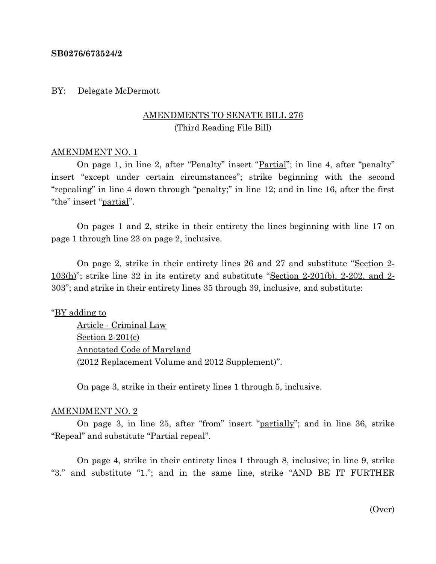### **SB0276/673524/2**

### BY: Delegate McDermott

# AMENDMENTS TO SENATE BILL 276 (Third Reading File Bill)

## AMENDMENT NO. 1

On page 1, in line 2, after "Penalty" insert "Partial"; in line 4, after "penalty" insert "except under certain circumstances"; strike beginning with the second "repealing" in line 4 down through "penalty;" in line 12; and in line 16, after the first "the" insert "partial".

On pages 1 and 2, strike in their entirety the lines beginning with line 17 on page 1 through line 23 on page 2, inclusive.

On page 2, strike in their entirety lines 26 and 27 and substitute "Section 2-  $103(h)$ "; strike line 32 in its entirety and substitute "Section 2-201(b), 2-202, and 2-303"; and strike in their entirety lines 35 through 39, inclusive, and substitute:

## "BY adding to

Article - Criminal Law Section 2-201(c) Annotated Code of Maryland (2012 Replacement Volume and 2012 Supplement)".

On page 3, strike in their entirety lines 1 through 5, inclusive.

#### AMENDMENT NO. 2

On page 3, in line 25, after "from" insert "partially"; and in line 36, strike "Repeal" and substitute "Partial repeal".

On page 4, strike in their entirety lines 1 through 8, inclusive; in line 9, strike "3." and substitute " $1$ ."; and in the same line, strike "AND BE IT FURTHER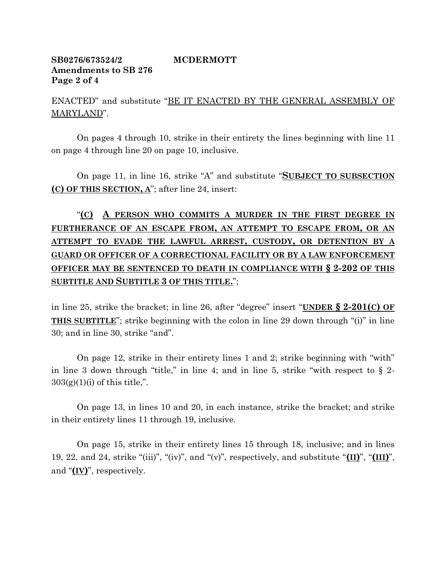# **SB0276/673524/2 MCDERMOTT Amendments to SB 276 Page 2 of 4**

ENACTED" and substitute "BE IT ENACTED BY THE GENERAL ASSEMBLY OF MARYLAND".

On pages 4 through 10, strike in their entirety the lines beginning with line 11 on page 4 through line 20 on page 10, inclusive.

On page 11, in line 16, strike "A" and substitute "**SUBJECT TO SUBSECTION (C) OF THIS SECTION, A**"; after line 24, insert:

"**(C) A PERSON WHO COMMITS A MURDER IN THE FIRST DEGREE IN FURTHERANCE OF AN ESCAPE FROM, AN ATTEMPT TO ESCAPE FROM, OR AN ATTEMPT TO EVADE THE LAWFUL ARREST, CUSTODY, OR DETENTION BY A GUARD OR OFFICER OF A CORRECTIONAL FACILITY OR BY A LAW ENFORCEMENT OFFICER MAY BE SENTENCED TO DEATH IN COMPLIANCE WITH § 2-202 OF THIS SUBTITLE AND SUBTITLE 3 OF THIS TITLE.**";

in line 25, strike the bracket; in line 26, after "degree" insert "**UNDER § 2-201(C) OF THIS SUBTITLE**"; strike beginning with the colon in line 29 down through "(i)" in line 30; and in line 30, strike "and".

On page 12, strike in their entirety lines 1 and 2; strike beginning with "with" in line 3 down through "title," in line 4; and in line 5, strike "with respect to  $\S$  2- $303(g)(1)(i)$  of this title,".

On page 13, in lines 10 and 20, in each instance, strike the bracket; and strike in their entirety lines 11 through 19, inclusive.

On page 15, strike in their entirety lines 15 through 18, inclusive; and in lines 19, 22, and 24, strike "(iii)", "(iv)", and "(v)", respectively, and substitute "**(II)**", "**(III)**", and "**(IV)**", respectively.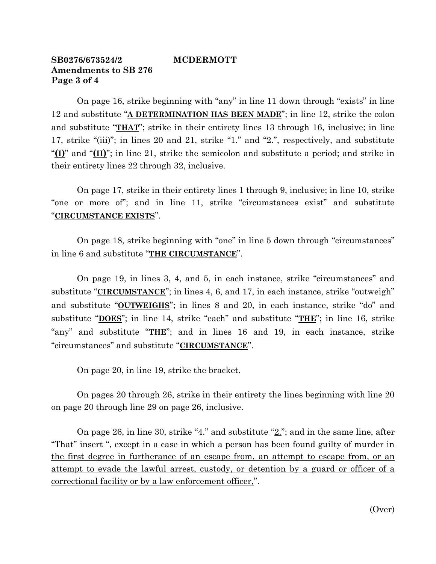# **SB0276/673524/2 MCDERMOTT Amendments to SB 276 Page 3 of 4**

On page 16, strike beginning with "any" in line 11 down through "exists" in line 12 and substitute "**A DETERMINATION HAS BEEN MADE**"; in line 12, strike the colon and substitute "**THAT**"; strike in their entirety lines 13 through 16, inclusive; in line 17, strike "(iii)"; in lines 20 and 21, strike "1." and "2.", respectively, and substitute "**(I)**" and "**(II)**"; in line 21, strike the semicolon and substitute a period; and strike in their entirety lines 22 through 32, inclusive.

On page 17, strike in their entirety lines 1 through 9, inclusive; in line 10, strike "one or more of"; and in line 11, strike "circumstances exist" and substitute "**CIRCUMSTANCE EXISTS**".

On page 18, strike beginning with "one" in line 5 down through "circumstances" in line 6 and substitute "**THE CIRCUMSTANCE**".

On page 19, in lines 3, 4, and 5, in each instance, strike "circumstances" and substitute "**CIRCUMSTANCE**"; in lines 4, 6, and 17, in each instance, strike "outweigh" and substitute "**OUTWEIGHS**"; in lines 8 and 20, in each instance, strike "do" and substitute "**DOES**"; in line 14, strike "each" and substitute "**THE**"; in line 16, strike "any" and substitute "**THE**"; and in lines 16 and 19, in each instance, strike "circumstances" and substitute "**CIRCUMSTANCE**".

On page 20, in line 19, strike the bracket.

On pages 20 through 26, strike in their entirety the lines beginning with line 20 on page 20 through line 29 on page 26, inclusive.

On page 26, in line 30, strike "4." and substitute  $\mathcal{L}$ "; and in the same line, after "That" insert ", except in a case in which a person has been found guilty of murder in the first degree in furtherance of an escape from, an attempt to escape from, or an attempt to evade the lawful arrest, custody, or detention by a guard or officer of a correctional facility or by a law enforcement officer,".

(Over)